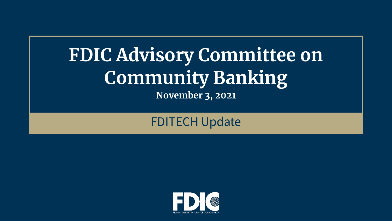## **FDIC Advisory Committee on Community Banking November 3, 2021**

### FDITECH Update

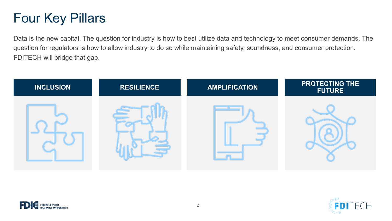### Four Key Pillars

Data is the new capital. The question for industry is how to best utilize data and technology to meet consumer demands. The question for regulators is how to allow industry to do so while maintaining safety, soundness, and consumer protection. FDITECH will bridge that gap.





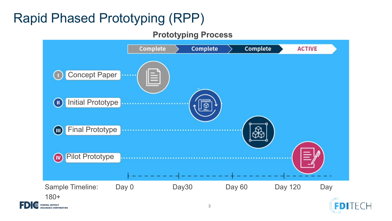## Rapid Phased Prototyping (RPP)

**INSURANCE CORPORATION** 

#### **Prototyping Process**



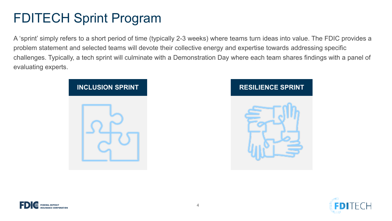### FDITECH Sprint Program

A 'sprint' simply refers to a short period of time (typically 2-3 weeks) where teams turn ideas into value. The FDIC provides a problem statement and selected teams will devote their collective energy and expertise towards addressing specific challenges. Typically, a tech sprint will culminate with a Demonstration Day where each team shares findings with a panel of evaluating experts.







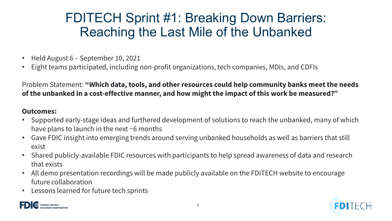### FDITECH Sprint #1: Breaking Down Barriers: Reaching the Last Mile of the Unbanked

- Held August 6 September 10, 2021
- Eight teams participated, including non-profit organizations, tech companies, MDIs, and CDFIs

#### **of the unbanked in a cost-effective manner, and how might the impact of this work be measured?"**  Problem Statement: **"Which data, tools, and other resources could help community banks meet the needs**

#### **Outcomes:**

- Supported early-stage ideas and furthered development of solutions to reach the unbanked, many of which have plans to launch in the next ~6 months
- • Gave FDIC insight into emerging trends around serving unbanked households as well as barriers that still exist
- Shared publicly-available FDIC resources with participants to help spread awareness of data and research that exists
- • All demo presentation recordings will be made publicly available on the FDITECH website to encourage future collaboration
- Lessons learned for future tech sprints



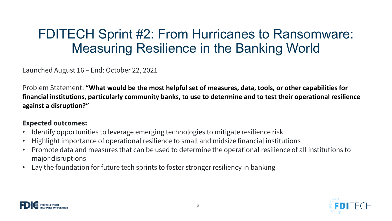### FDITECH Sprint #2: From Hurricanes to Ransomware: Measuring Resilience in the Banking World

Launched August 16 – End: October 22, 2021

 Problem Statement: **"What would be the most helpful set of measures, data, tools, or other capabilities for financial institutions, particularly community banks, to use to determine and to test their operational resilience against a disruption?"** 

#### **Expected outcomes:**

- Identify opportunities to leverage emerging technologies to mitigate resilience risk
- Highlight importance of operational resilience to small and midsize financial institutions
- • Promote data and measures that can be used to determine the operational resilience of all institutions to major disruptions
- Lay the foundation for future tech sprints to foster stronger resiliency in banking